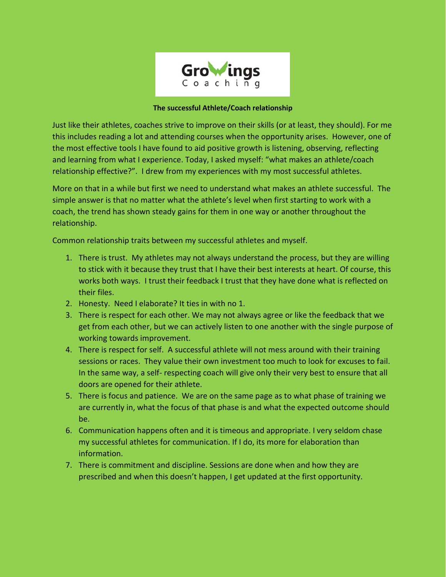

## **The successful Athlete/Coach relationship**

Just like their athletes, coaches strive to improve on their skills (or at least, they should). For me this includes reading a lot and attending courses when the opportunity arises. However, one of the most effective tools I have found to aid positive growth is listening, observing, reflecting and learning from what I experience. Today, I asked myself: "what makes an athlete/coach relationship effective?". I drew from my experiences with my most successful athletes.

More on that in a while but first we need to understand what makes an athlete successful. The simple answer is that no matter what the athlete's level when first starting to work with a coach, the trend has shown steady gains for them in one way or another throughout the relationship.

Common relationship traits between my successful athletes and myself.

- 1. There is trust. My athletes may not always understand the process, but they are willing to stick with it because they trust that I have their best interests at heart. Of course, this works both ways. I trust their feedback I trust that they have done what is reflected on their files.
- 2. Honesty. Need I elaborate? It ties in with no 1.
- 3. There is respect for each other. We may not always agree or like the feedback that we get from each other, but we can actively listen to one another with the single purpose of working towards improvement.
- 4. There is respect for self. A successful athlete will not mess around with their training sessions or races. They value their own investment too much to look for excuses to fail. In the same way, a self- respecting coach will give only their very best to ensure that all doors are opened for their athlete.
- 5. There is focus and patience. We are on the same page as to what phase of training we are currently in, what the focus of that phase is and what the expected outcome should be.
- 6. Communication happens often and it is timeous and appropriate. I very seldom chase my successful athletes for communication. If I do, its more for elaboration than information.
- 7. There is commitment and discipline. Sessions are done when and how they are prescribed and when this doesn't happen, I get updated at the first opportunity.